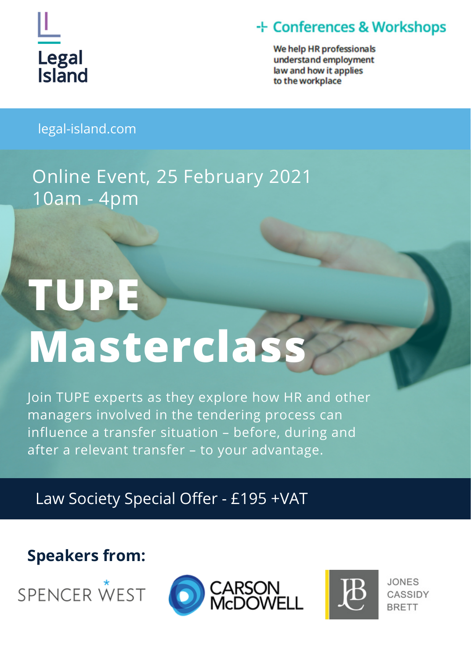

### + Conferences & Workshops

We help HR professionals understand employment law and how it applies to the workplace

legal-island.com

# Online Event, 25 February 2021 10am - 4pm

# **TUPE Masterclass**

Join TUPE experts as they explore how HR and other managers involved in the tendering process can influence a transfer situation – before, during and after a relevant transfer – to your advantage.

Law Society Special Offer - £195 +VAT

### **Speakers from:**







**JONES** CASSIDY **BRETT**